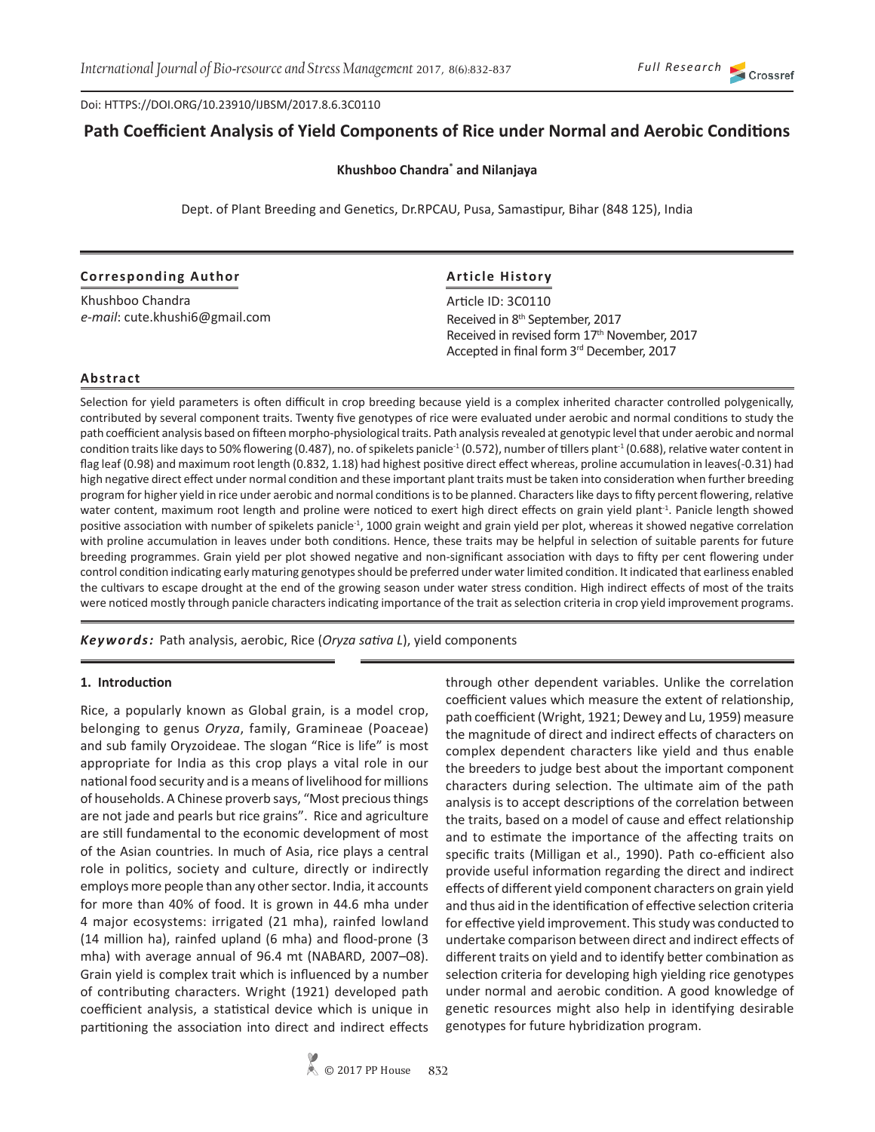Doi: HTTPS://DOI.ORG/10.23910/IJBSM/2017.8.6.3C0110

# **Path Coefficient Analysis of Yield Components of Rice under Normal and Aerobic Conditions**

#### **Khushboo Chandra\* and Nilanjaya**

Dept. of Plant Breeding and Genetics, Dr.RPCAU, Pusa, Samastipur, Bihar (848 125), India

#### **Corresponding Author**

Khushboo Chandra *e-mail*: cute.khushi6@gmail.com

## **Article History**

Article ID: 3C0110 Received in 8th September, 2017 Received in revised form 17<sup>th</sup> November, 2017 Accepted in final form 3rd December, 2017

#### **Abstract**

Selection for yield parameters is often difficult in crop breeding because yield is a complex inherited character controlled polygenically, contributed by several component traits. Twenty five genotypes of rice were evaluated under aerobic and normal conditions to study the path coefficient analysis based on fifteen morpho-physiological traits. Path analysis revealed at genotypic level that under aerobic and normal condition traits like days to 50% flowering (0.487), no. of spikelets panicle<sup>-1</sup> (0.572), number of tillers plant<sup>-1</sup> (0.688), relative water content in flag leaf (0.98) and maximum root length (0.832, 1.18) had highest positive direct effect whereas, proline accumulation in leaves(-0.31) had high negative direct effect under normal condition and these important plant traits must be taken into consideration when further breeding program for higher yield in rice under aerobic and normal conditions is to be planned. Characters like days to fifty percent flowering, relative water content, maximum root length and proline were noticed to exert high direct effects on grain yield plant<sup>1</sup>. Panicle length showed positive association with number of spikelets panicle<sup>-1</sup>, 1000 grain weight and grain yield per plot, whereas it showed negative correlation with proline accumulation in leaves under both conditions. Hence, these traits may be helpful in selection of suitable parents for future breeding programmes. Grain yield per plot showed negative and non-significant association with days to fifty per cent flowering under control condition indicating early maturing genotypes should be preferred under water limited condition. It indicated that earliness enabled the cultivars to escape drought at the end of the growing season under water stress condition. High indirect effects of most of the traits were noticed mostly through panicle characters indicating importance of the trait as selection criteria in crop yield improvement programs.

*Keywords:* Path analysis, aerobic, Rice (*Oryza sativa L*), yield components

#### **1. Introduction**

Rice, a popularly known as Global grain, is a model crop, belonging to genus *Oryza*, family, Gramineae (Poaceae) and sub family Oryzoideae. The slogan "Rice is life" is most appropriate for India as this crop plays a vital role in our national food security and is a means of livelihood for millions of households. A Chinese proverb says, "Most precious things are not jade and pearls but rice grains". Rice and agriculture are still fundamental to the economic development of most of the Asian countries. In much of Asia, rice plays a central role in politics, society and culture, directly or indirectly employs more people than any other sector. India, it accounts for more than 40% of food. It is grown in 44.6 mha under 4 major ecosystems: irrigated (21 mha), rainfed lowland (14 million ha), rainfed upland (6 mha) and flood-prone (3 mha) with average annual of 96.4 mt (NABARD, 2007–08). Grain yield is complex trait which is influenced by a number of contributing characters. Wright (1921) developed path coefficient analysis, a statistical device which is unique in partitioning the association into direct and indirect effects

through other dependent variables. Unlike the correlation coefficient values which measure the extent of relationship, path coefficient (Wright, 1921; Dewey and Lu, 1959) measure the magnitude of direct and indirect effects of characters on complex dependent characters like yield and thus enable the breeders to judge best about the important component characters during selection. The ultimate aim of the path analysis is to accept descriptions of the correlation between the traits, based on a model of cause and effect relationship and to estimate the importance of the affecting traits on specific traits (Milligan et al., 1990). Path co-efficient also provide useful information regarding the direct and indirect effects of different yield component characters on grain yield and thus aid in the identification of effective selection criteria for effective yield improvement. This study was conducted to undertake comparison between direct and indirect effects of different traits on yield and to identify better combination as selection criteria for developing high yielding rice genotypes under normal and aerobic condition. A good knowledge of genetic resources might also help in identifying desirable genotypes for future hybridization program.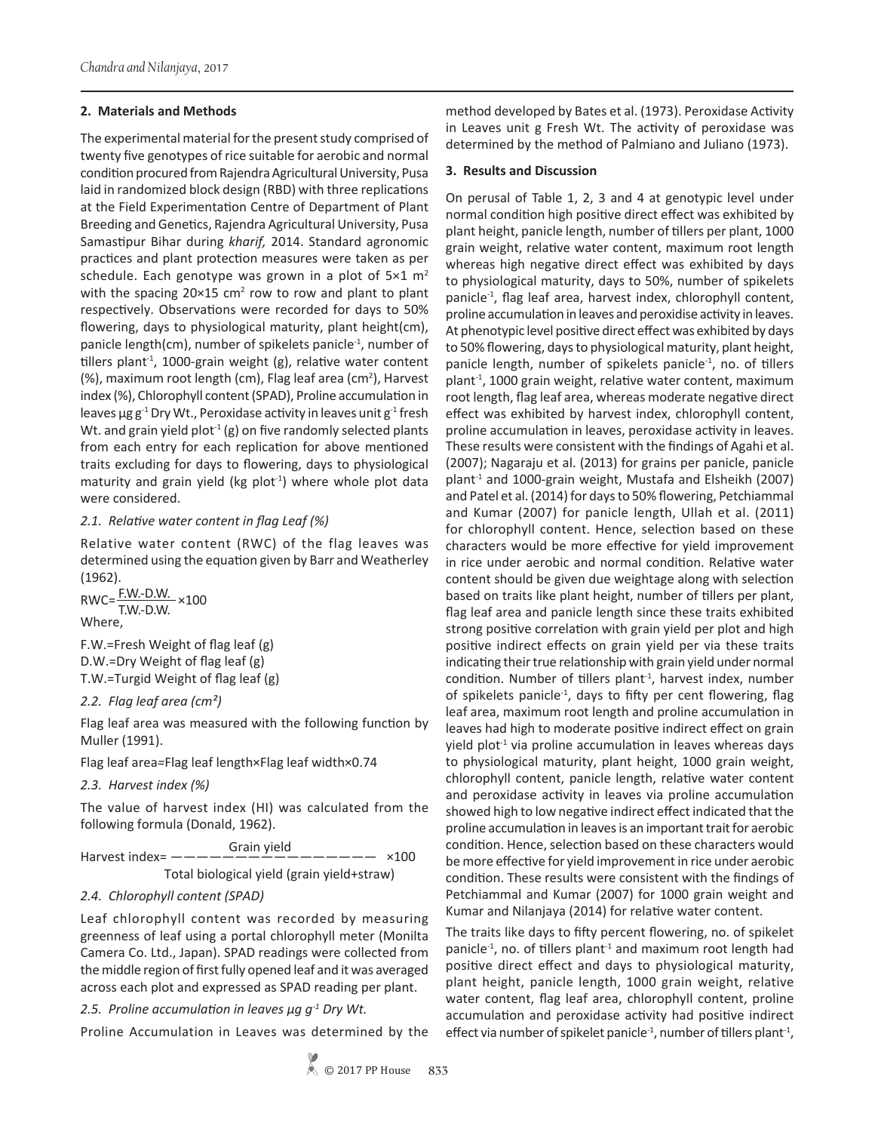#### **2. Materials and Methods**

The experimental material for the present study comprised of twenty five genotypes of rice suitable for aerobic and normal condition procured from Rajendra Agricultural University, Pusa laid in randomized block design (RBD) with three replications at the Field Experimentation Centre of Department of Plant Breeding and Genetics, Rajendra Agricultural University, Pusa Samastipur Bihar during *kharif,* 2014. Standard agronomic practices and plant protection measures were taken as per schedule. Each genotype was grown in a plot of  $5\times1$  m<sup>2</sup> with the spacing  $20 \times 15$  cm<sup>2</sup> row to row and plant to plant respectively. Observations were recorded for days to 50% flowering, days to physiological maturity, plant height(cm), panicle length(cm), number of spikelets panicle<sup>-1</sup>, number of tillers plant<sup>-1</sup>, 1000-grain weight (g), relative water content (%), maximum root length (cm), Flag leaf area (cm<sup>2</sup>), Harvest index (%), Chlorophyll content (SPAD), Proline accumulation in leaves  $\mu$ g g<sup>-1</sup> Dry Wt., Peroxidase activity in leaves unit g<sup>-1</sup> fresh Wt. and grain yield plot<sup>-1</sup> (g) on five randomly selected plants from each entry for each replication for above mentioned traits excluding for days to flowering, days to physiological maturity and grain yield (kg  $plot^{-1}$ ) where whole plot data were considered.

## *2.1. Relative water content in flag Leaf (%)*

Relative water content (RWC) of the flag leaves was determined using the equation given by Barr and Weatherley (1962).

 $\text{RWC} = \frac{\text{F.W.-D.W.}}{\text{T.W.-D.W.}} \times 100$ Where,

F.W.=Fresh Weight of flag leaf (g) D.W.=Dry Weight of flag leaf (g) T.W.=Turgid Weight of flag leaf (g)

#### *2.2. Flag leaf area (cm²)*

Flag leaf area was measured with the following function by Muller (1991).

Flag leaf area*=*Flag leaf length×Flag leaf width×0.74

## *2.3. Harvest index (%)*

The value of harvest index (HI) was calculated from the following formula (Donald, 1962).

 Grain yield Harvest index=  $--------------------- - 2100$ 

Total biological yield (grain yield+straw)

## *2.4. Chlorophyll content (SPAD)*

Leaf chlorophyll content was recorded by measuring greenness of leaf using a portal chlorophyll meter (Monilta Camera Co. Ltd., Japan). SPAD readings were collected from the middle region of first fully opened leaf and it was averaged across each plot and expressed as SPAD reading per plant.

## *2.5. Proline accumulation in leaves µg g-1 Dry Wt.*

Proline Accumulation in Leaves was determined by the

method developed by Bates et al. (1973). Peroxidase Activity in Leaves unit g Fresh Wt. The activity of peroxidase was determined by the method of Palmiano and Juliano (1973).

#### **3. Results and Discussion**

On perusal of Table 1, 2, 3 and 4 at genotypic level under normal condition high positive direct effect was exhibited by plant height, panicle length, number of tillers per plant, 1000 grain weight, relative water content, maximum root length whereas high negative direct effect was exhibited by days to physiological maturity, days to 50%, number of spikelets panicle-1, flag leaf area, harvest index, chlorophyll content, proline accumulation in leaves and peroxidise activity in leaves. At phenotypic level positive direct effect was exhibited by days to 50% flowering, days to physiological maturity, plant height, panicle length, number of spikelets panicle $<sup>-1</sup>$ , no. of tillers</sup> plant<sup>-1</sup>, 1000 grain weight, relative water content, maximum root length, flag leaf area, whereas moderate negative direct effect was exhibited by harvest index, chlorophyll content, proline accumulation in leaves, peroxidase activity in leaves. These results were consistent with the findings of Agahi et al. (2007); Nagaraju et al. (2013) for grains per panicle, panicle plant-1 and 1000-grain weight, Mustafa and Elsheikh (2007) and Patel et al. (2014) for days to 50% flowering, Petchiammal and Kumar (2007) for panicle length, Ullah et al. (2011) for chlorophyll content. Hence, selection based on these characters would be more effective for yield improvement in rice under aerobic and normal condition. Relative water content should be given due weightage along with selection based on traits like plant height, number of tillers per plant, flag leaf area and panicle length since these traits exhibited strong positive correlation with grain yield per plot and high positive indirect effects on grain yield per via these traits indicating their true relationship with grain yield under normal condition. Number of tillers plant-1, harvest index, number of spikelets panicle<sup>-1</sup>, days to fifty per cent flowering, flag leaf area, maximum root length and proline accumulation in leaves had high to moderate positive indirect effect on grain  $y$ ield plot $<sup>-1</sup>$  via proline accumulation in leaves whereas days</sup> to physiological maturity, plant height, 1000 grain weight, chlorophyll content, panicle length, relative water content and peroxidase activity in leaves via proline accumulation showed high to low negative indirect effect indicated that the proline accumulation in leaves is an important trait for aerobic condition. Hence, selection based on these characters would be more effective for yield improvement in rice under aerobic condition. These results were consistent with the findings of Petchiammal and Kumar (2007) for 1000 grain weight and Kumar and Nilanjaya (2014) for relative water content.

The traits like days to fifty percent flowering, no. of spikelet panicle $^{-1}$ , no. of tillers plant $^{-1}$  and maximum root length had positive direct effect and days to physiological maturity, plant height, panicle length, 1000 grain weight, relative water content, flag leaf area, chlorophyll content, proline accumulation and peroxidase activity had positive indirect effect via number of spikelet panicle<sup>-1</sup>, number of tillers plant<sup>-1</sup>,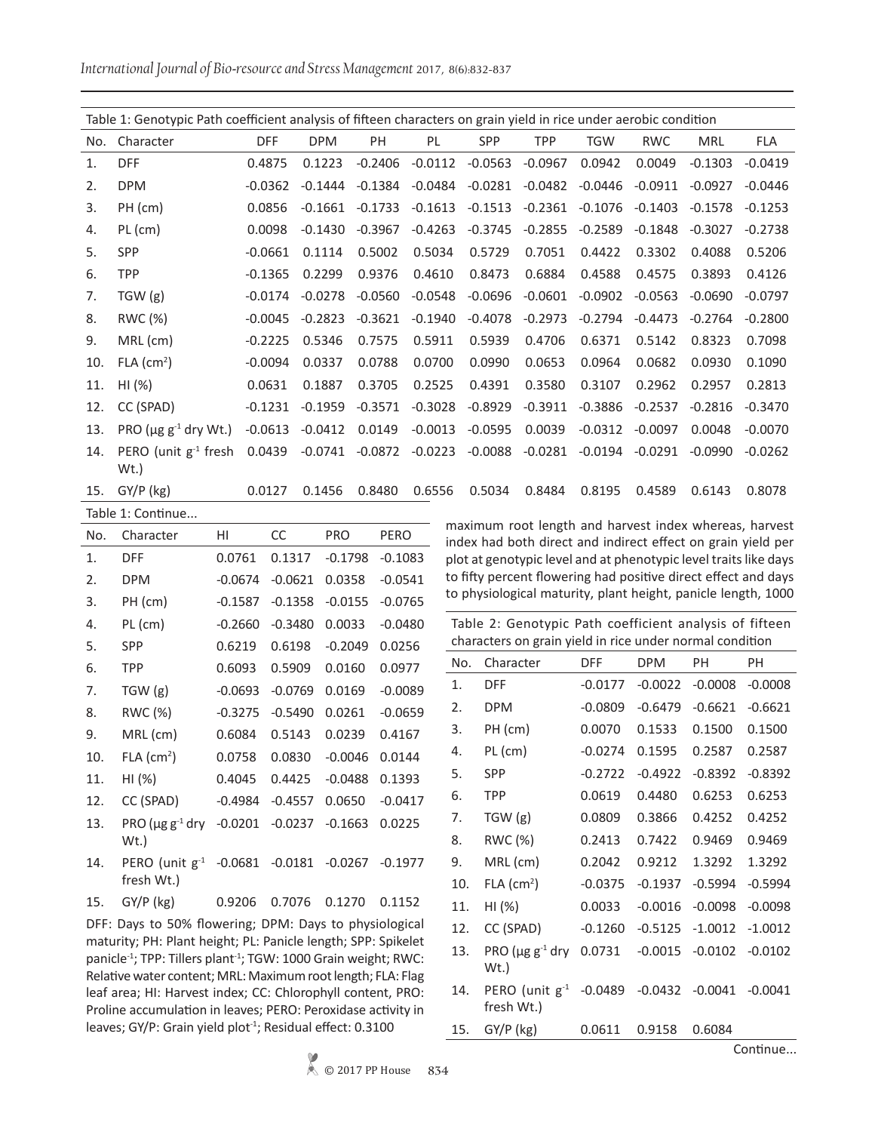*International Journal of Bio-resource and Stress Management* 2017, 8(6):832-837

| Table 1: Genotypic Path coefficient analysis of fifteen characters on grain yield in rice under aerobic condition |                                        |            |            |           |           |           |            |            |            |            |            |
|-------------------------------------------------------------------------------------------------------------------|----------------------------------------|------------|------------|-----------|-----------|-----------|------------|------------|------------|------------|------------|
| No.                                                                                                               | Character                              | <b>DFF</b> | <b>DPM</b> | PH        | PL        | SPP       | <b>TPP</b> | <b>TGW</b> | <b>RWC</b> | <b>MRL</b> | <b>FLA</b> |
| 1.                                                                                                                | <b>DFF</b>                             | 0.4875     | 0.1223     | $-0.2406$ | $-0.0112$ | $-0.0563$ | $-0.0967$  | 0.0942     | 0.0049     | $-0.1303$  | $-0.0419$  |
| 2.                                                                                                                | <b>DPM</b>                             | $-0.0362$  | $-0.1444$  | $-0.1384$ | $-0.0484$ | $-0.0281$ | $-0.0482$  | $-0.0446$  | $-0.0911$  | $-0.0927$  | $-0.0446$  |
| 3.                                                                                                                | PH (cm)                                | 0.0856     | $-0.1661$  | $-0.1733$ | $-0.1613$ | $-0.1513$ | $-0.2361$  | $-0.1076$  | $-0.1403$  | $-0.1578$  | $-0.1253$  |
| 4.                                                                                                                | $PL$ (cm)                              | 0.0098     | $-0.1430$  | $-0.3967$ | $-0.4263$ | $-0.3745$ | $-0.2855$  | $-0.2589$  | $-0.1848$  | $-0.3027$  | $-0.2738$  |
| 5.                                                                                                                | <b>SPP</b>                             | $-0.0661$  | 0.1114     | 0.5002    | 0.5034    | 0.5729    | 0.7051     | 0.4422     | 0.3302     | 0.4088     | 0.5206     |
| 6.                                                                                                                | <b>TPP</b>                             | $-0.1365$  | 0.2299     | 0.9376    | 0.4610    | 0.8473    | 0.6884     | 0.4588     | 0.4575     | 0.3893     | 0.4126     |
| 7.                                                                                                                | TGW (g)                                | $-0.0174$  | $-0.0278$  | $-0.0560$ | $-0.0548$ | $-0.0696$ | $-0.0601$  | $-0.0902$  | $-0.0563$  | $-0.0690$  | $-0.0797$  |
| 8.                                                                                                                | RWC (%)                                | $-0.0045$  | $-0.2823$  | $-0.3621$ | $-0.1940$ | $-0.4078$ | $-0.2973$  | $-0.2794$  | $-0.4473$  | $-0.2764$  | $-0.2800$  |
| 9.                                                                                                                | MRL (cm)                               | $-0.2225$  | 0.5346     | 0.7575    | 0.5911    | 0.5939    | 0.4706     | 0.6371     | 0.5142     | 0.8323     | 0.7098     |
| 10.                                                                                                               | $FLA$ (cm <sup>2</sup> )               | $-0.0094$  | 0.0337     | 0.0788    | 0.0700    | 0.0990    | 0.0653     | 0.0964     | 0.0682     | 0.0930     | 0.1090     |
| 11.                                                                                                               | $HI (\%)$                              | 0.0631     | 0.1887     | 0.3705    | 0.2525    | 0.4391    | 0.3580     | 0.3107     | 0.2962     | 0.2957     | 0.2813     |
| 12.                                                                                                               | CC (SPAD)                              | $-0.1231$  | $-0.1959$  | $-0.3571$ | $-0.3028$ | $-0.8929$ | $-0.3911$  | $-0.3886$  | $-0.2537$  | $-0.2816$  | $-0.3470$  |
| 13.                                                                                                               | PRO ( $\mu$ g g <sup>-1</sup> dry Wt.) | $-0.0613$  | $-0.0412$  | 0.0149    | $-0.0013$ | $-0.0595$ | 0.0039     | $-0.0312$  | $-0.0097$  | 0.0048     | $-0.0070$  |
| 14.                                                                                                               | PERO (unit $g^{-1}$ fresh<br>Wt.       | 0.0439     | $-0.0741$  | $-0.0872$ | $-0.0223$ | $-0.0088$ | $-0.0281$  | $-0.0194$  | $-0.0291$  | $-0.0990$  | $-0.0262$  |
| 15.                                                                                                               | $GY/P$ (kg)                            | 0.0127     | 0.1456     | 0.8480    | 0.6556    | 0.5034    | 0.8484     | 0.8195     | 0.4589     | 0.6143     | 0.8078     |
|                                                                                                                   | Table 1: Continue                      |            |            |           |           |           |            |            |            |            |            |

| No. | Character                                                | HI        | CC        | <b>PRO</b> | PERO      |
|-----|----------------------------------------------------------|-----------|-----------|------------|-----------|
| 1.  | <b>DFF</b>                                               | 0.0761    | 0.1317    | $-0.1798$  | $-0.1083$ |
| 2.  | <b>DPM</b>                                               | $-0.0674$ | $-0.0621$ | 0.0358     | $-0.0541$ |
| 3.  | PH (cm)                                                  | $-0.1587$ | $-0.1358$ | $-0.0155$  | $-0.0765$ |
| 4.  | PL (cm)                                                  | $-0.2660$ | $-0.3480$ | 0.0033     | $-0.0480$ |
| 5.  | <b>SPP</b>                                               | 0.6219    | 0.6198    | $-0.2049$  | 0.0256    |
| 6.  | TPP                                                      | 0.6093    | 0.5909    | 0.0160     | 0.0977    |
| 7.  | TGW(g)                                                   | $-0.0693$ | $-0.0769$ | 0.0169     | $-0.0089$ |
| 8.  | RWC (%)                                                  | $-0.3275$ | $-0.5490$ | 0.0261     | $-0.0659$ |
| 9.  | MRL (cm)                                                 | 0.6084    | 0.5143    | 0.0239     | 0.4167    |
| 10. | $FLA$ (cm <sup>2</sup> )                                 | 0.0758    | 0.0830    | $-0.0046$  | 0.0144    |
| 11. | HI (%)                                                   | 0.4045    | 0.4425    | $-0.0488$  | 0.1393    |
| 12. | CC (SPAD)                                                | $-0.4984$ | $-0.4557$ | 0.0650     | $-0.0417$ |
| 13. | PRO $(\mu g g^{-1}$ dry<br>Wt.)                          | $-0.0201$ | $-0.0237$ | $-0.1663$  | 0.0225    |
| 14. | PERO (unit g <sup>-1</sup> -0.0681 -0.0181<br>fresh Wt.) |           |           | $-0.0267$  | $-0.1977$ |
| 15. | $GY/P$ (kg)                                              | 0.9206    | 0.7076    | 0.1270     | 0.1152    |

DFF: Days to 50% flowering; DPM: Days to physiological maturity; PH: Plant height; PL: Panicle length; SPP: Spikelet panicle<sup>-1</sup>; TPP: Tillers plant<sup>-1</sup>; TGW: 1000 Grain weight; RWC: Relative water content; MRL: Maximum root length; FLA: Flag leaf area; HI: Harvest index; CC: Chlorophyll content, PRO: Proline accumulation in leaves; PERO: Peroxidase activity in leaves; GY/P: Grain yield plot<sup>-1</sup>; Residual effect: 0.3100

maximum root length and harvest index whereas, harvest index had both direct and indirect effect on grain yield per plot at genotypic level and at phenotypic level traits like days to fifty percent flowering had positive direct effect and days to physiological maturity, plant height, panicle length, 1000

Table 2: Genotypic Path coefficient analysis of fifteen characters on grain yield in rice under normal condition

| No. | Character                                 | <b>DFF</b> | <b>DPM</b> | PН        | PH        |
|-----|-------------------------------------------|------------|------------|-----------|-----------|
| 1.  | DFF                                       | $-0.0177$  | $-0.0022$  | $-0.0008$ | $-0.0008$ |
| 2.  | <b>DPM</b>                                | $-0.0809$  | $-0.6479$  | $-0.6621$ | $-0.6621$ |
| 3.  | PH (cm)                                   | 0.0070     | 0.1533     | 0.1500    | 0.1500    |
| 4.  | PL (cm)                                   | $-0.0274$  | 0.1595     | 0.2587    | 0.2587    |
| 5.  | SPP                                       | $-0.2722$  | $-0.4922$  | $-0.8392$ | $-0.8392$ |
| 6.  | <b>TPP</b>                                | 0.0619     | 0.4480     | 0.6253    | 0.6253    |
| 7.  | TGW(g)                                    | 0.0809     | 0.3866     | 0.4252    | 0.4252    |
| 8.  | RWC (%)                                   | 0.2413     | 0.7422     | 0.9469    | 0.9469    |
| 9.  | MRL (cm)                                  | 0.2042     | 0.9212     | 1.3292    | 1.3292    |
| 10. | $FLA$ (cm <sup>2</sup> )                  | $-0.0375$  | $-0.1937$  | $-0.5994$ | $-0.5994$ |
| 11. | HI (%)                                    | 0.0033     | $-0.0016$  | $-0.0098$ | $-0.0098$ |
| 12. | CC (SPAD)                                 | $-0.1260$  | $-0.5125$  | $-1.0012$ | $-1.0012$ |
| 13. | PRO ( $\mu$ g g <sup>-1</sup> dry<br>Wt.) | 0.0731     | $-0.0015$  | $-0.0102$ | $-0.0102$ |
| 14. | PERO (unit $g^{-1}$ -0.0489<br>fresh Wt.) |            | $-0.0432$  | $-0.0041$ | $-0.0041$ |
| 15. | $GY/P$ (kg)                               | 0.0611     | 0.9158     | 0.6084    |           |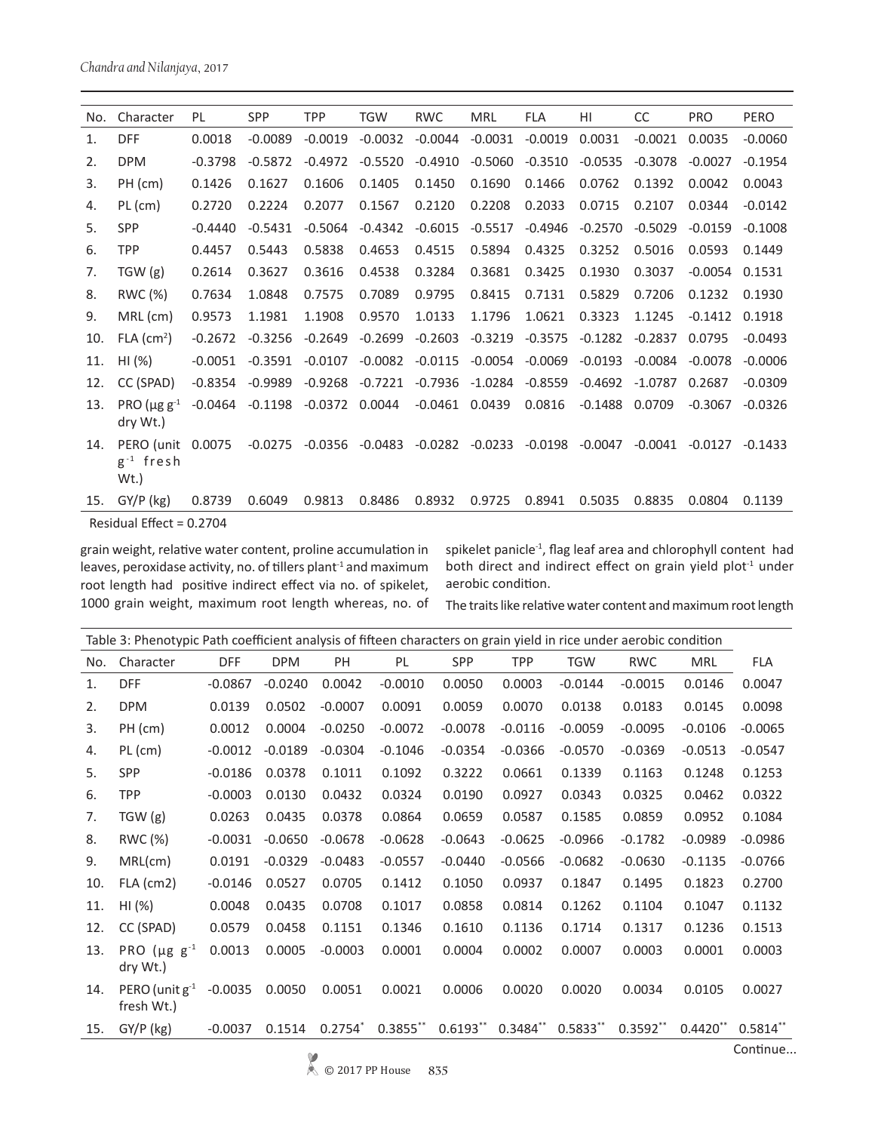| No. | Character                                | PL        | SPP       | <b>TPP</b> | <b>TGW</b> | <b>RWC</b>                                        | <b>MRL</b> | <b>FLA</b> | HI        | CC        | <b>PRO</b> | <b>PERO</b> |
|-----|------------------------------------------|-----------|-----------|------------|------------|---------------------------------------------------|------------|------------|-----------|-----------|------------|-------------|
| 1.  | <b>DFF</b>                               | 0.0018    | $-0.0089$ | $-0.0019$  | $-0.0032$  | $-0.0044$                                         | $-0.0031$  | $-0.0019$  | 0.0031    | $-0.0021$ | 0.0035     | $-0.0060$   |
| 2.  | <b>DPM</b>                               | $-0.3798$ | $-0.5872$ | $-0.4972$  | $-0.5520$  | $-0.4910$                                         | $-0.5060$  | $-0.3510$  | $-0.0535$ | $-0.3078$ | $-0.0027$  | $-0.1954$   |
| 3.  | PH (cm)                                  | 0.1426    | 0.1627    | 0.1606     | 0.1405     | 0.1450                                            | 0.1690     | 0.1466     | 0.0762    | 0.1392    | 0.0042     | 0.0043      |
| 4.  | $PL$ (cm)                                | 0.2720    | 0.2224    | 0.2077     | 0.1567     | 0.2120                                            | 0.2208     | 0.2033     | 0.0715    | 0.2107    | 0.0344     | $-0.0142$   |
| 5.  | <b>SPP</b>                               | $-0.4440$ | $-0.5431$ | $-0.5064$  | $-0.4342$  | $-0.6015$                                         | $-0.5517$  | $-0.4946$  | $-0.2570$ | $-0.5029$ | $-0.0159$  | $-0.1008$   |
| 6.  | <b>TPP</b>                               | 0.4457    | 0.5443    | 0.5838     | 0.4653     | 0.4515                                            | 0.5894     | 0.4325     | 0.3252    | 0.5016    | 0.0593     | 0.1449      |
| 7.  | TGW(g)                                   | 0.2614    | 0.3627    | 0.3616     | 0.4538     | 0.3284                                            | 0.3681     | 0.3425     | 0.1930    | 0.3037    | $-0.0054$  | 0.1531      |
| 8.  | RWC (%)                                  | 0.7634    | 1.0848    | 0.7575     | 0.7089     | 0.9795                                            | 0.8415     | 0.7131     | 0.5829    | 0.7206    | 0.1232     | 0.1930      |
| 9.  | $MRL$ (cm)                               | 0.9573    | 1.1981    | 1.1908     | 0.9570     | 1.0133                                            | 1.1796     | 1.0621     | 0.3323    | 1.1245    | $-0.1412$  | 0.1918      |
| 10. | $FLA$ (cm <sup>2</sup> )                 | $-0.2672$ | $-0.3256$ | $-0.2649$  | $-0.2699$  | $-0.2603$                                         | $-0.3219$  | $-0.3575$  | $-0.1282$ | $-0.2837$ | 0.0795     | $-0.0493$   |
| 11. | HI (%)                                   | $-0.0051$ | $-0.3591$ | $-0.0107$  | $-0.0082$  | $-0.0115$                                         | $-0.0054$  | $-0.0069$  | $-0.0193$ | $-0.0084$ | $-0.0078$  | $-0.0006$   |
| 12. | CC (SPAD)                                | $-0.8354$ | $-0.9989$ | $-0.9268$  | $-0.7221$  | $-0.7936$                                         | -1.0284    | $-0.8559$  | $-0.4692$ | $-1.0787$ | 0.2687     | $-0.0309$   |
| 13. | PRO $(\mu$ g g <sup>-1</sup><br>dry Wt.) | $-0.0464$ | -0.1198   | -0.0372    | 0.0044     | $-0.0461$                                         | 0.0439     | 0.0816     | $-0.1488$ | 0.0709    | $-0.3067$  | $-0.0326$   |
| 14. | PERO (unit<br>$g^{-1}$ fresh<br>Wt.      | 0.0075    | $-0.0275$ | -0.0356    |            | $-0.0483$ $-0.0282$ $-0.0233$ $-0.0198$ $-0.0047$ |            |            |           | $-0.0041$ | $-0.0127$  | $-0.1433$   |
| 15. | $GY/P$ (kg)                              | 0.8739    | 0.6049    | 0.9813     | 0.8486     | 0.8932                                            | 0.9725     | 0.8941     | 0.5035    | 0.8835    | 0.0804     | 0.1139      |
|     |                                          |           |           |            |            |                                                   |            |            |           |           |            |             |

Residual Effect = 0.2704

grain weight, relative water content, proline accumulation in leaves, peroxidase activity, no. of tillers plant<sup>-1</sup> and maximum root length had positive indirect effect via no. of spikelet, 1000 grain weight, maximum root length whereas, no. of spikelet panicle<sup>-1</sup>, flag leaf area and chlorophyll content had both direct and indirect effect on grain yield plot<sup>-1</sup> under aerobic condition.

The traits like relative water content and maximum root length

| Table 3: Phenotypic Path coefficient analysis of fifteen characters on grain yield in rice under aerobic condition |                                   |            |            |           |             |            |            |            |            |            |            |
|--------------------------------------------------------------------------------------------------------------------|-----------------------------------|------------|------------|-----------|-------------|------------|------------|------------|------------|------------|------------|
| No.                                                                                                                | Character                         | <b>DFF</b> | <b>DPM</b> | PH        | PL          | SPP        | <b>TPP</b> | <b>TGW</b> | <b>RWC</b> | <b>MRL</b> | FLA        |
| 1.                                                                                                                 | <b>DFF</b>                        | $-0.0867$  | $-0.0240$  | 0.0042    | $-0.0010$   | 0.0050     | 0.0003     | $-0.0144$  | $-0.0015$  | 0.0146     | 0.0047     |
| 2.                                                                                                                 | <b>DPM</b>                        | 0.0139     | 0.0502     | $-0.0007$ | 0.0091      | 0.0059     | 0.0070     | 0.0138     | 0.0183     | 0.0145     | 0.0098     |
| 3.                                                                                                                 | PH (cm)                           | 0.0012     | 0.0004     | $-0.0250$ | $-0.0072$   | $-0.0078$  | $-0.0116$  | $-0.0059$  | $-0.0095$  | $-0.0106$  | $-0.0065$  |
| 4.                                                                                                                 | $PL$ (cm)                         | $-0.0012$  | $-0.0189$  | $-0.0304$ | $-0.1046$   | $-0.0354$  | $-0.0366$  | $-0.0570$  | $-0.0369$  | $-0.0513$  | $-0.0547$  |
| 5.                                                                                                                 | <b>SPP</b>                        | $-0.0186$  | 0.0378     | 0.1011    | 0.1092      | 0.3222     | 0.0661     | 0.1339     | 0.1163     | 0.1248     | 0.1253     |
| 6.                                                                                                                 | <b>TPP</b>                        | $-0.0003$  | 0.0130     | 0.0432    | 0.0324      | 0.0190     | 0.0927     | 0.0343     | 0.0325     | 0.0462     | 0.0322     |
| 7.                                                                                                                 | TGW(g)                            | 0.0263     | 0.0435     | 0.0378    | 0.0864      | 0.0659     | 0.0587     | 0.1585     | 0.0859     | 0.0952     | 0.1084     |
| 8.                                                                                                                 | RWC (%)                           | $-0.0031$  | $-0.0650$  | $-0.0678$ | $-0.0628$   | $-0.0643$  | $-0.0625$  | $-0.0966$  | $-0.1782$  | $-0.0989$  | $-0.0986$  |
| 9.                                                                                                                 | MRL(cm)                           | 0.0191     | $-0.0329$  | $-0.0483$ | $-0.0557$   | $-0.0440$  | $-0.0566$  | $-0.0682$  | $-0.0630$  | $-0.1135$  | $-0.0766$  |
| 10.                                                                                                                | $FLA$ (cm2)                       | $-0.0146$  | 0.0527     | 0.0705    | 0.1412      | 0.1050     | 0.0937     | 0.1847     | 0.1495     | 0.1823     | 0.2700     |
| 11.                                                                                                                | HI (%)                            | 0.0048     | 0.0435     | 0.0708    | 0.1017      | 0.0858     | 0.0814     | 0.1262     | 0.1104     | 0.1047     | 0.1132     |
| 12.                                                                                                                | CC (SPAD)                         | 0.0579     | 0.0458     | 0.1151    | 0.1346      | 0.1610     | 0.1136     | 0.1714     | 0.1317     | 0.1236     | 0.1513     |
| 13.                                                                                                                | PRO $(\mu g g^{-1})$<br>dry Wt.)  | 0.0013     | 0.0005     | $-0.0003$ | 0.0001      | 0.0004     | 0.0002     | 0.0007     | 0.0003     | 0.0001     | 0.0003     |
| 14.                                                                                                                | PERO (unit $g^{-1}$<br>fresh Wt.) | $-0.0035$  | 0.0050     | 0.0051    | 0.0021      | 0.0006     | 0.0020     | 0.0020     | 0.0034     | 0.0105     | 0.0027     |
| 15.                                                                                                                | GY/P (kg)                         | $-0.0037$  | 0.1514     | $0.2754*$ | $0.3855$ ** | $0.6193**$ | $0.3484**$ | $0.5833**$ | $0.3592**$ | $0.4420**$ | $0.5814**$ |
|                                                                                                                    |                                   |            |            |           |             |            |            |            |            |            |            |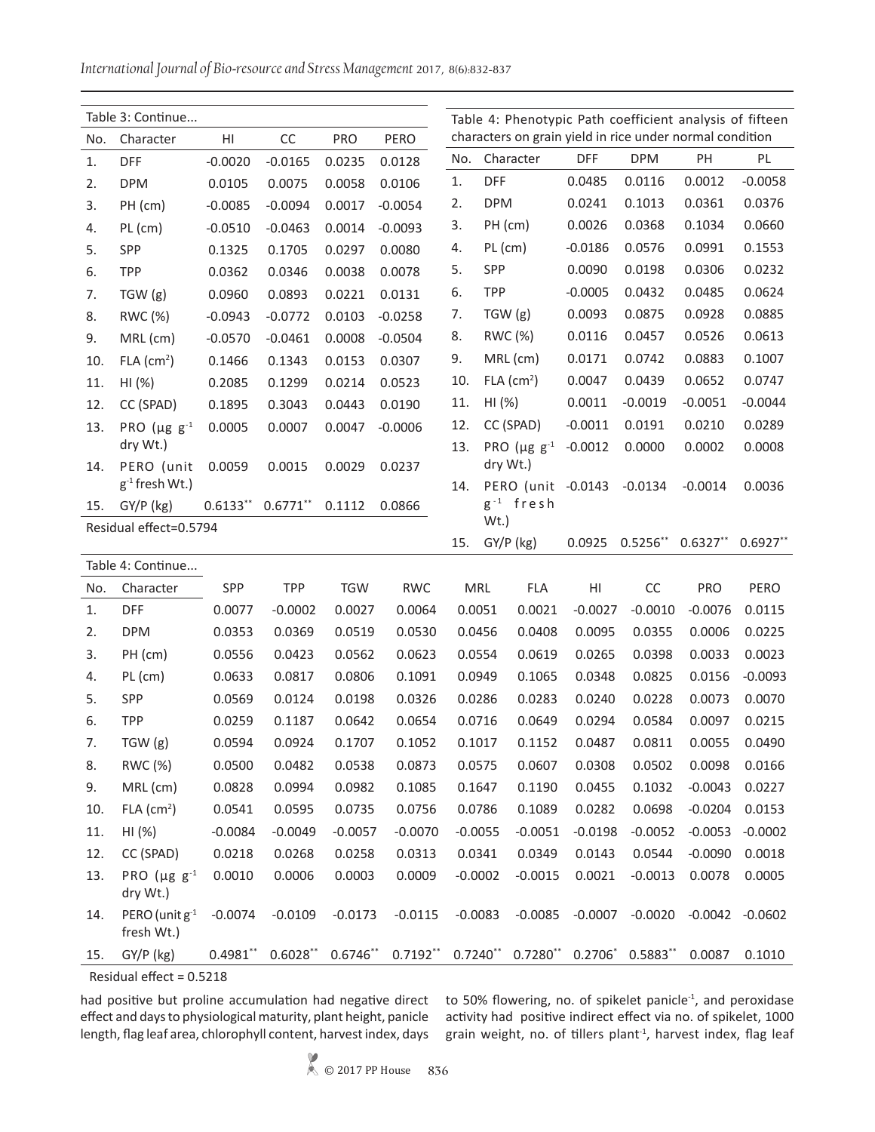*International Journal of Bio-resource and Stress Management* 2017, 8(6):832-837

|                   | Table 3: Continue        |            |            |            |            |        |                  | Table 4: Phenotypic Path coefficient analysis of fifteen<br>characters on grain yield in rice under normal condition |            |               |            |                   |  |  |
|-------------------|--------------------------|------------|------------|------------|------------|--------|------------------|----------------------------------------------------------------------------------------------------------------------|------------|---------------|------------|-------------------|--|--|
| No.               | Character                | HI         | CC         | PRO        | PERO       |        |                  |                                                                                                                      |            |               |            |                   |  |  |
| 1.                | <b>DFF</b>               | $-0.0020$  | $-0.0165$  | 0.0235     | 0.0128     | No.    |                  | Character                                                                                                            | <b>DFF</b> | <b>DPM</b>    | PH         | PL                |  |  |
| 2.                | <b>DPM</b>               | 0.0105     | 0.0075     | 0.0058     | 0.0106     | 1.     | <b>DFF</b>       |                                                                                                                      | 0.0485     | 0.0116        | 0.0012     | $-0.0058$         |  |  |
| 3.                | PH (cm)                  | $-0.0085$  | $-0.0094$  | 0.0017     | $-0.0054$  | 2.     | <b>DPM</b>       |                                                                                                                      | 0.0241     | 0.1013        | 0.0361     | 0.0376            |  |  |
| 4.                | $PL$ (cm)                | $-0.0510$  | $-0.0463$  | 0.0014     | $-0.0093$  | 3.     |                  | PH (cm)                                                                                                              | 0.0026     | 0.0368        | 0.1034     | 0.0660            |  |  |
| 5.                | SPP                      | 0.1325     | 0.1705     | 0.0297     | 0.0080     | 4.     | $PL$ (cm)        |                                                                                                                      | $-0.0186$  | 0.0576        | 0.0991     | 0.1553            |  |  |
| 6.                | <b>TPP</b>               | 0.0362     | 0.0346     | 0.0038     | 0.0078     | 5.     | SPP              |                                                                                                                      | 0.0090     | 0.0198        | 0.0306     | 0.0232            |  |  |
| 7.                | TGW(g)                   | 0.0960     | 0.0893     | 0.0221     | 0.0131     | 6.     | <b>TPP</b>       |                                                                                                                      | $-0.0005$  | 0.0432        | 0.0485     | 0.0624            |  |  |
| 8.                | RWC (%)                  | $-0.0943$  | $-0.0772$  | 0.0103     | $-0.0258$  | 7.     |                  | TGW(g)                                                                                                               | 0.0093     | 0.0875        | 0.0928     | 0.0885            |  |  |
| 9.                | MRL (cm)                 | $-0.0570$  | $-0.0461$  | 0.0008     | $-0.0504$  | 8.     |                  | RWC (%)                                                                                                              | 0.0116     | 0.0457        | 0.0526     | 0.0613            |  |  |
| 10.               | $FLA$ (cm <sup>2</sup> ) | 0.1466     | 0.1343     | 0.0153     | 0.0307     | 9.     |                  | MRL (cm)                                                                                                             | 0.0171     | 0.0742        | 0.0883     | 0.1007            |  |  |
| 11.               | HI (%)                   | 0.2085     | 0.1299     | 0.0214     | 0.0523     | 10.    |                  | $FLA$ (cm <sup>2</sup> )                                                                                             | 0.0047     | 0.0439        | 0.0652     | 0.0747            |  |  |
| 12.               | CC (SPAD)                | 0.1895     | 0.3043     | 0.0443     | 0.0190     | 11.    | HI (%)           |                                                                                                                      | 0.0011     | $-0.0019$     | $-0.0051$  | $-0.0044$         |  |  |
| 13.               | PRO $(\mu g g^{-1})$     | 0.0005     | 0.0007     | 0.0047     | $-0.0006$  | 12.    |                  | CC (SPAD)                                                                                                            | $-0.0011$  | 0.0191        | 0.0210     | 0.0289            |  |  |
|                   | dry Wt.)                 |            |            |            |            | 13.    |                  | PRO ( $\mu$ g g <sup>-1</sup>                                                                                        | $-0.0012$  | 0.0000        | 0.0002     | 0.0008            |  |  |
| 14.               | PERO (unit               | 0.0059     | 0.0015     | 0.0029     | 0.0237     |        |                  | dry Wt.)                                                                                                             |            |               |            |                   |  |  |
|                   | $g^{-1}$ fresh Wt.)      |            |            |            |            | 14.    |                  | PERO (unit -0.0143                                                                                                   |            | $-0.0134$     | $-0.0014$  | 0.0036            |  |  |
| 15.               | GY/P (kg)                | $0.6133**$ | $0.6771**$ | 0.1112     | 0.0866     |        | $g^{-1}$<br>Wt.) | fresh                                                                                                                |            |               |            |                   |  |  |
|                   | Residual effect=0.5794   |            |            |            |            | 15.    |                  | $GY/P$ (kg)                                                                                                          | 0.0925     | $0.5256**$    | $0.6327**$ | $0.6927**$        |  |  |
| Table 4: Continue |                          |            |            |            |            |        |                  |                                                                                                                      |            |               |            |                   |  |  |
| No.               | Character                | SPP        | <b>TPP</b> | <b>TGW</b> | <b>RWC</b> |        | MRL              | <b>FLA</b>                                                                                                           | H1         | CC            | PRO        | PERO              |  |  |
| 1.                | <b>DFF</b>               | 0.0077     | $-0.0002$  | 0.0027     | 0.0064     |        | 0.0051           | 0.0021                                                                                                               | $-0.0027$  | $-0.0010$     | $-0.0076$  | 0.0115            |  |  |
| 2.                | <b>DPM</b>               | 0.0353     | 0.0369     | 0.0519     | 0.0530     |        | 0.0456           | 0.0408                                                                                                               | 0.0095     | 0.0355        | 0.0006     | 0.0225            |  |  |
| 3.                | PH (cm)                  | 0.0556     | 0.0423     | 0.0562     | 0.0623     |        | 0.0554           | 0.0619                                                                                                               | 0.0265     | 0.0398        | 0.0033     | 0.0023            |  |  |
| 4.                | PL (cm)                  | 0.0633     | 0.0817     | 0.0806     | 0.1091     | 0.0949 |                  | 0.1065                                                                                                               | 0.0348     | 0.0825        | 0.0156     | $-0.0093$         |  |  |
| 5.                | <b>SPP</b>               | 0.0569     | 0.0124     | 0.0198     | 0.0326     |        | 0.0286           | 0.0283                                                                                                               | 0.0240     | 0.0228        | 0.0073     | 0.0070            |  |  |
| 6.                | <b>TPP</b>               | 0.0259     | 0.1187     | 0.0642     | 0.0654     |        | 0.0716           | 0.0649                                                                                                               | 0.0294     | 0.0584        | 0.0097     | 0.0215            |  |  |
| 7.                | TGW (g)                  | 0.0594     | 0.0924     | 0.1707     | 0.1052     |        | 0.1017           | 0.1152                                                                                                               |            | 0.0487 0.0811 | 0.0055     | 0.0490            |  |  |
| 8.                | RWC (%)                  | 0.0500     | 0.0482     | 0.0538     | 0.0873     |        | 0.0575           | 0.0607                                                                                                               | 0.0308     | 0.0502        | 0.0098     | 0.0166            |  |  |
| 9.                | MRL (cm)                 | 0.0828     | 0.0994     | 0.0982     | 0.1085     | 0.1647 |                  | 0.1190                                                                                                               | 0.0455     | 0.1032        | $-0.0043$  | 0.0227            |  |  |
| 10.               | $FLA$ (cm <sup>2</sup> ) | 0.0541     | 0.0595     | 0.0735     | 0.0756     |        | 0.0786           | 0.1089                                                                                                               | 0.0282     | 0.0698        | $-0.0204$  | 0.0153            |  |  |
| 11.               | HI (%)                   | $-0.0084$  | $-0.0049$  | $-0.0057$  | $-0.0070$  |        | $-0.0055$        | $-0.0051$                                                                                                            | $-0.0198$  | $-0.0052$     | $-0.0053$  | $-0.0002$         |  |  |
| 12.               | CC (SPAD)                | 0.0218     | 0.0268     | 0.0258     | 0.0313     |        | 0.0341           | 0.0349                                                                                                               | 0.0143     | 0.0544        | $-0.0090$  | 0.0018            |  |  |
| 13.               | PRO $(\mu g g^{-1})$     | 0.0010     | 0.0006     | 0.0003     | 0.0009     |        | $-0.0002$        | $-0.0015$                                                                                                            | 0.0021     | $-0.0013$     | 0.0078     | 0.0005            |  |  |
|                   | dry Wt.)                 |            |            |            |            |        |                  |                                                                                                                      |            |               |            |                   |  |  |
| 14.               | PERO (unit g-1           | $-0.0074$  | $-0.0109$  | $-0.0173$  | $-0.0115$  |        | $-0.0083$        | $-0.0085$                                                                                                            | $-0.0007$  | $-0.0020$     |            | $-0.0042 -0.0602$ |  |  |
|                   | fresh Wt.)               |            |            |            |            |        |                  |                                                                                                                      |            |               |            |                   |  |  |
| 15.               | GY/P (kg)                | $0.4981**$ | $0.6028**$ | $0.6746**$ | $0.7192**$ |        | $0.7240**$       | $0.7280**$                                                                                                           | $0.2706*$  | $0.5883**$    | 0.0087     | 0.1010            |  |  |
|                   | Residual effect = 0.5218 |            |            |            |            |        |                  |                                                                                                                      |            |               |            |                   |  |  |

had positive but proline accumulation had negative direct effect and days to physiological maturity, plant height, panicle length, flag leaf area, chlorophyll content, harvest index, days

to 50% flowering, no. of spikelet panicle<sup>-1</sup>, and peroxidase activity had positive indirect effect via no. of spikelet, 1000 grain weight, no. of tillers plant-1, harvest index, flag leaf